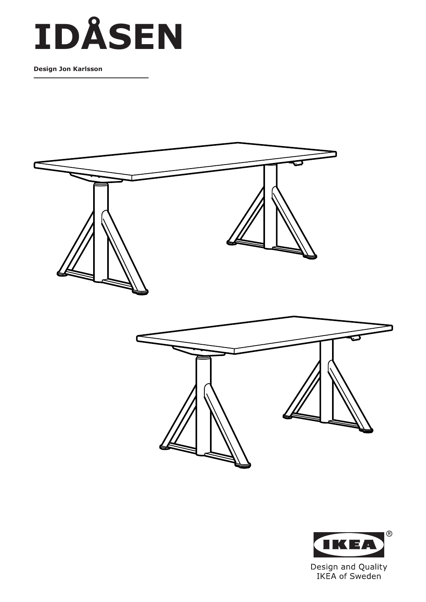# **IDÅSEN**

**Design Jon Karlsson**





IKEA of Sweden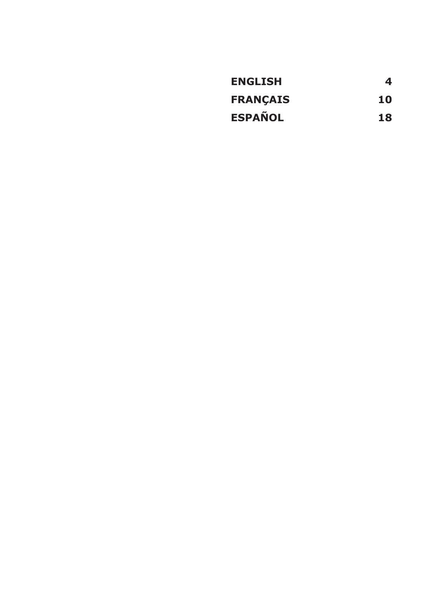| <b>ENGLISH</b>  | 4  |
|-----------------|----|
| <b>FRANÇAIS</b> | 10 |
| <b>ESPAÑOL</b>  | 18 |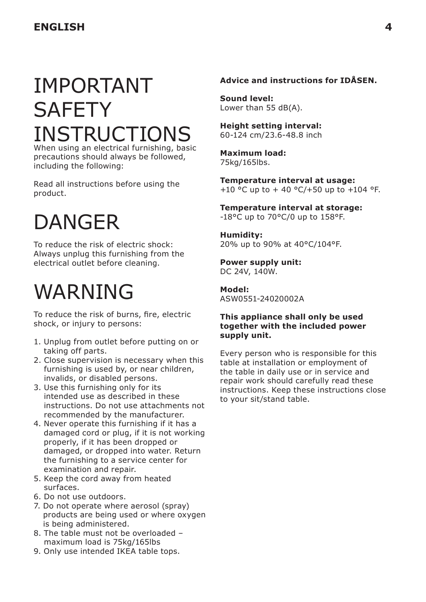## IMPORTANT **SAFETY** INSTRUCTIONS

When using an electrical furnishing, basic precautions should always be followed, including the following:

Read all instructions before using the product.

### DANGER

To reduce the risk of electric shock: Always unplug this furnishing from the electrical outlet before cleaning.

### WARNING

To reduce the risk of burns, fire, electric shock, or injury to persons:

- 1. Unplug from outlet before putting on or taking off parts.
- 2. Close supervision is necessary when this furnishing is used by, or near children, invalids, or disabled persons.
- 3. Use this furnishing only for its intended use as described in these instructions. Do not use attachments not recommended by the manufacturer.
- 4. Never operate this furnishing if it has a damaged cord or plug, if it is not working properly, if it has been dropped or damaged, or dropped into water. Return the furnishing to a service center for examination and repair.
- 5. Keep the cord away from heated surfaces.
- 6. Do not use outdoors.
- 7. Do not operate where aerosol (spray) products are being used or where oxygen is being administered.
- 8. The table must not be overloaded maximum load is 75kg/165lbs
- 9. Only use intended IKEA table tops.

#### **Advice and instructions for IDÅSEN.**

**Sound level:** Lower than 55 dB(A).

**Height setting interval:** 60-124 cm/23.6-48.8 inch

**Maximum load:**  75kg/165lbs.

**Temperature interval at usage:** +10 °C up to + 40 °C/+50 up to +104 °F.

**Temperature interval at storage:**  -18°C up to 70°C/0 up to 158°F.

**Humidity:**  20% up to 90% at 40°C/104°F.

**Power supply unit:** DC 24V, 140W.

**Model:**  ASW0551-24020002A

#### **This appliance shall only be used together with the included power supply unit.**

Every person who is responsible for this table at installation or employment of the table in daily use or in service and repair work should carefully read these instructions. Keep these instructions close to your sit/stand table.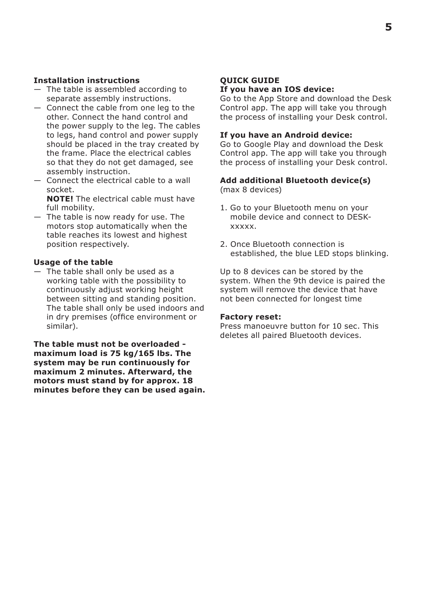#### **Installation instructions**

- The table is assembled according to separate assembly instructions.
- Connect the cable from one leg to the other. Connect the hand control and the power supply to the leg. The cables to legs, hand control and power supply should be placed in the tray created by the frame. Place the electrical cables so that they do not get damaged, see assembly instruction.
- Connect the electrical cable to a wall socket.
	- **NOTE!** The electrical cable must have full mobility.
- The table is now ready for use. The motors stop automatically when the table reaches its lowest and highest position respectively.

#### **Usage of the table**

— The table shall only be used as a working table with the possibility to continuously adjust working height between sitting and standing position. The table shall only be used indoors and in dry premises (office environment or similar).

**The table must not be overloaded maximum load is 75 kg/165 lbs. The system may be run continuously for maximum 2 minutes. Afterward, the motors must stand by for approx. 18 minutes before they can be used again.**

#### **QUICK GUIDE If you have an IOS device:**

Go to the App Store and download the Desk Control app. The app will take you through the process of installing your Desk control.

#### **If you have an Android device:**

Go to Google Play and download the Desk Control app. The app will take you through the process of installing your Desk control.

#### **Add additional Bluetooth device(s)**

(max 8 devices)

- 1. Go to your Bluetooth menu on your mobile device and connect to DESKxxxxx.
- 2. Once Bluetooth connection is established, the blue LED stops blinking.

Up to 8 devices can be stored by the system. When the 9th device is paired the system will remove the device that have not been connected for longest time

#### **Factory reset:**

Press manoeuvre button for 10 sec. This deletes all paired Bluetooth devices.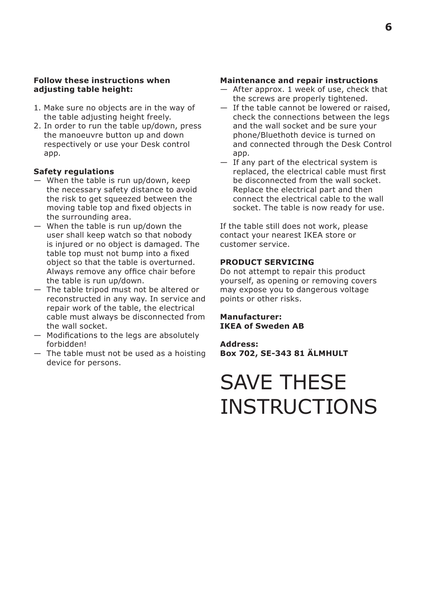#### **Follow these instructions when adjusting table height:**

- 1. Make sure no objects are in the way of the table adjusting height freely.
- 2. In order to run the table up/down, press the manoeuvre button up and down respectively or use your Desk control app.

#### **Safety regulations**

- When the table is run up/down, keep the necessary safety distance to avoid the risk to get squeezed between the moving table top and fixed objects in the surrounding area.
- When the table is run up/down the user shall keep watch so that nobody is injured or no object is damaged. The table top must not bump into a fixed object so that the table is overturned. Always remove any office chair before the table is run up/down.
- The table tripod must not be altered or reconstructed in any way. In service and repair work of the table, the electrical cable must always be disconnected from the wall socket.
- Modifications to the legs are absolutely forbidden!
- The table must not be used as a hoisting device for persons.

#### **Maintenance and repair instructions**

- After approx. 1 week of use, check that the screws are properly tightened.
- If the table cannot be lowered or raised, check the connections between the legs and the wall socket and be sure your phone/Bluethoth device is turned on and connected through the Desk Control app.
- If any part of the electrical system is replaced, the electrical cable must first be disconnected from the wall socket. Replace the electrical part and then connect the electrical cable to the wall socket. The table is now ready for use.

If the table still does not work, please contact your nearest IKEA store or customer service.

#### **PRODUCT SERVICING**

Do not attempt to repair this product yourself, as opening or removing covers may expose you to dangerous voltage points or other risks.

**Manufacturer: IKEA of Sweden AB**

**Address: Box 702, SE-343 81 ÄLMHULT**

### SAVE THESE **INSTRUCTIONS**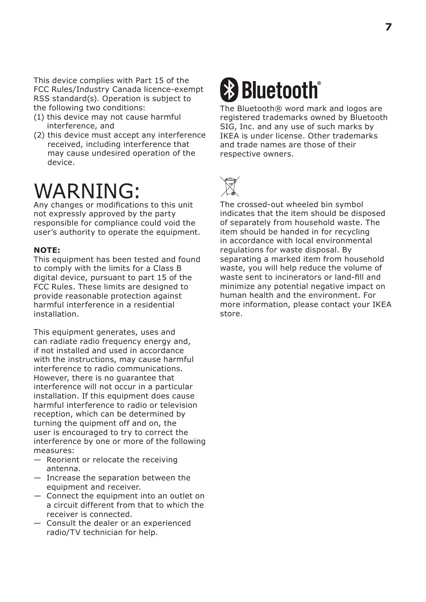This device complies with Part 15 of the FCC Rules/Industry Canada licence-exempt RSS standard(s). Operation is subject to the following two conditions:

- (1) this device may not cause harmful interference, and
- (2) this device must accept any interference received, including interference that may cause undesired operation of the device.

### WARNING:

Any changes or modifications to this unit not expressly approved by the party responsible for compliance could void the user's authority to operate the equipment.

#### **NOTE:**

This equipment has been tested and found to comply with the limits for a Class B digital device, pursuant to part 15 of the FCC Rules. These limits are designed to provide reasonable protection against harmful interference in a residential installation.

This equipment generates, uses and can radiate radio frequency energy and, if not installed and used in accordance with the instructions, may cause harmful interference to radio communications. However, there is no guarantee that interference will not occur in a particular installation. If this equipment does cause harmful interference to radio or television reception, which can be determined by turning the quipment off and on, the user is encouraged to try to correct the interference by one or more of the following measures:

- Reorient or relocate the receiving antenna.
- Increase the separation between the equipment and receiver.
- Connect the equipment into an outlet on a circuit different from that to which the receiver is connected.
- Consult the dealer or an experienced radio/TV technician for help.

# **& Bluetooth**

The Bluetooth® word mark and logos are registered trademarks owned by Bluetooth SIG, Inc. and any use of such marks by IKEA is under license. Other trademarks and trade names are those of their respective owners.



The crossed-out wheeled bin symbol indicates that the item should be disposed of separately from household waste. The item should be handed in for recycling in accordance with local environmental regulations for waste disposal. By separating a marked item from household waste, you will help reduce the volume of waste sent to incinerators or land-fill and minimize any potential negative impact on human health and the environment. For more information, please contact your IKEA store.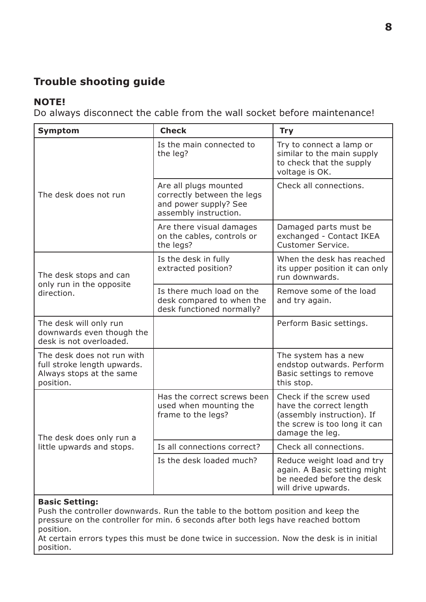### **Trouble shooting guide**

#### **NOTE!**

Do always disconnect the cable from the wall socket before maintenance!

| Symptom                                                                                            | <b>Check</b>                                                                                          | <b>Try</b>                                                                                                                          |
|----------------------------------------------------------------------------------------------------|-------------------------------------------------------------------------------------------------------|-------------------------------------------------------------------------------------------------------------------------------------|
| The desk does not run                                                                              | Is the main connected to<br>the leg?                                                                  | Try to connect a lamp or<br>similar to the main supply<br>to check that the supply<br>voltage is OK.                                |
|                                                                                                    | Are all plugs mounted<br>correctly between the legs<br>and power supply? See<br>assembly instruction. | Check all connections.                                                                                                              |
|                                                                                                    | Are there visual damages<br>on the cables, controls or<br>the legs?                                   | Damaged parts must be<br>exchanged - Contact IKEA<br>Customer Service.                                                              |
| The desk stops and can                                                                             | Is the desk in fully<br>extracted position?                                                           | When the desk has reached<br>its upper position it can only<br>run downwards.                                                       |
| only run in the opposite<br>direction.                                                             | Is there much load on the<br>desk compared to when the<br>desk functioned normally?                   | Remove some of the load<br>and try again.                                                                                           |
| The desk will only run<br>downwards even though the<br>desk is not overloaded.                     |                                                                                                       | Perform Basic settings.                                                                                                             |
| The desk does not run with<br>full stroke length upwards.<br>Always stops at the same<br>position. |                                                                                                       | The system has a new<br>endstop outwards. Perform<br>Basic settings to remove<br>this stop.                                         |
| The desk does only run a                                                                           | Has the correct screws been<br>used when mounting the<br>frame to the legs?                           | Check if the screw used<br>have the correct length<br>(assembly instruction). If<br>the screw is too long it can<br>damage the leg. |
| little upwards and stops.                                                                          | Is all connections correct?                                                                           | Check all connections.                                                                                                              |
|                                                                                                    | Is the desk loaded much?                                                                              | Reduce weight load and try<br>again. A Basic setting might<br>be needed before the desk<br>will drive upwards.                      |

#### **Basic Setting:**

Push the controller downwards. Run the table to the bottom position and keep the pressure on the controller for min. 6 seconds after both legs have reached bottom position.

At certain errors types this must be done twice in succession. Now the desk is in initial position.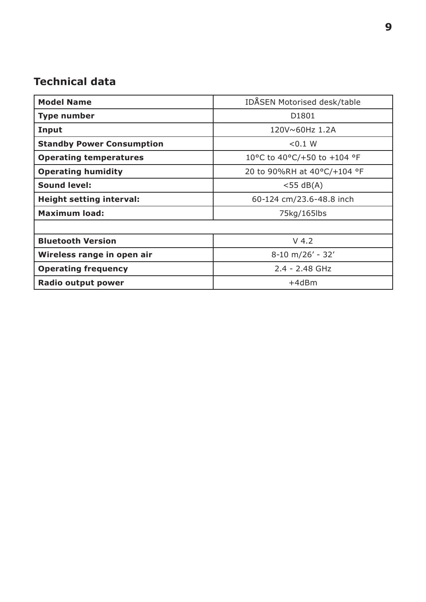### **Technical data**

| <b>Model Name</b>                | <b>IDASEN Motorised desk/table</b> |  |
|----------------------------------|------------------------------------|--|
| Type number                      | D <sub>1801</sub>                  |  |
| Input                            | 120V~60Hz 1.2A                     |  |
| <b>Standby Power Consumption</b> | < 0.1 W                            |  |
| <b>Operating temperatures</b>    | 10°C to 40°C/+50 to +104 °F        |  |
| <b>Operating humidity</b>        | 20 to 90%RH at 40°C/+104 °F        |  |
| <b>Sound level:</b>              | $<$ 55 dB(A)                       |  |
| <b>Height setting interval:</b>  | 60-124 cm/23.6-48.8 inch           |  |
| <b>Maximum load:</b>             | 75kg/165lbs                        |  |
|                                  |                                    |  |
| <b>Bluetooth Version</b>         | $V$ 4.2                            |  |
| Wireless range in open air       | $8-10$ m/26' - 32'                 |  |
| <b>Operating frequency</b>       | $2.4 - 2.48$ GHz                   |  |
| Radio output power               | $+4d$ Bm                           |  |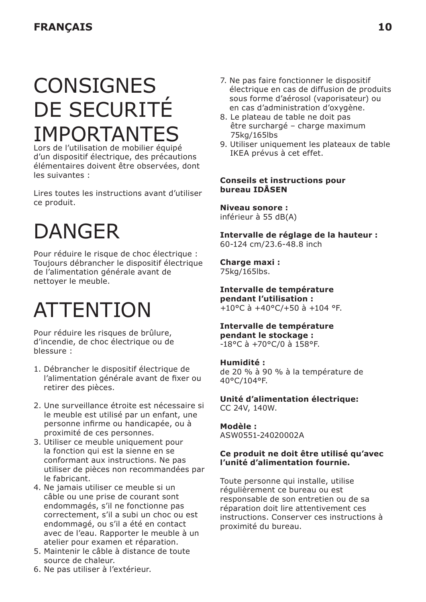### **CONSIGNES** DE SECURITÉ IMPORTANTES

Lors de l'utilisation de mobilier équipé d'un dispositif électrique, des précautions élémentaires doivent être observées, dont les suivantes :

Lires toutes les instructions avant d'utiliser ce produit.

## **DANGER**

Pour réduire le risque de choc électrique : Toujours débrancher le dispositif électrique de l'alimentation générale avant de nettoyer le meuble.

### **ATTENTION**

Pour réduire les risques de brûlure, d'incendie, de choc électrique ou de blessure :

- 1. Débrancher le dispositif électrique de l'alimentation générale avant de fixer ou retirer des pièces.
- 2. Une surveillance étroite est nécessaire si le meuble est utilisé par un enfant, une personne infirme ou handicapée, ou à proximité de ces personnes.
- 3. Utiliser ce meuble uniquement pour la fonction qui est la sienne en se conformant aux instructions. Ne pas utiliser de pièces non recommandées par le fabricant.
- 4. Ne jamais utiliser ce meuble si un câble ou une prise de courant sont endommagés, s'il ne fonctionne pas correctement, s'il a subi un choc ou est endommagé, ou s'il a été en contact avec de l'eau. Rapporter le meuble à un atelier pour examen et réparation.
- 5. Maintenir le câble à distance de toute source de chaleur.
- 7. Ne pas faire fonctionner le dispositif électrique en cas de diffusion de produits sous forme d'aérosol (vaporisateur) ou en cas d'administration d'oxygène.
- 8. Le plateau de table ne doit pas être surchargé – charge maximum 75kg/165lbs
- 9. Utiliser uniquement les plateaux de table IKEA prévus à cet effet.

#### **Conseils et instructions pour bureau IDÅSEN**

**Niveau sonore :** inférieur à 55 dB(A)

**Intervalle de réglage de la hauteur :** 60-124 cm/23.6-48.8 inch

**Charge maxi :**  75kg/165lbs.

**Intervalle de température pendant l'utilisation :**   $+10^{\circ}$ C à  $+40^{\circ}$ C/+50 à  $+104^{\circ}$ F.

**Intervalle de température pendant le stockage :**  -18°C à +70°C/0 à 158°F.

#### **Humidité :**

de 20 % à 90 % à la température de 40°C/104°F.

**Unité d'alimentation électrique:** CC 24V, 140W.

**Modèle :** ASW0551-24020002A

#### **Ce produit ne doit être utilisé qu'avec l'unité d'alimentation fournie.**

Toute personne qui installe, utilise régulièrement ce bureau ou est responsable de son entretien ou de sa réparation doit lire attentivement ces instructions. Conserver ces instructions à proximité du bureau.

6. Ne pas utiliser à l'extérieur.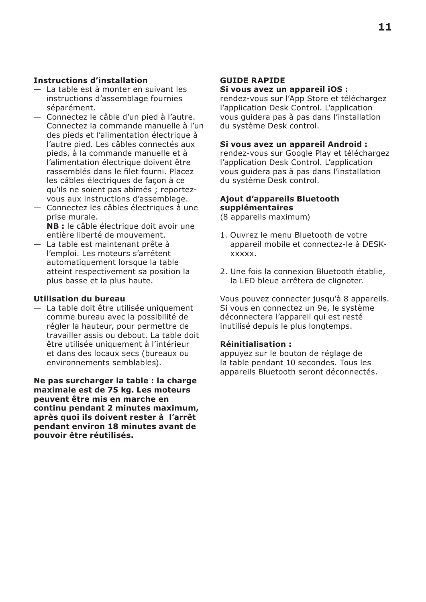#### **Instructions d'installation**

- La table est à monter en suivant les instructions d'assemblage fournies séparément.
- Connectez le câble d'un pied à l'autre. Connectez la commande manuelle à l'un des pieds et l'alimentation électrique à l'autre pied. Les câbles connectés aux pieds, à la commande manuelle et à l'alimentation électrique doivent être rassemblés dans le filet fourni. Placez les câbles électriques de façon à ce qu'ils ne soient pas abîmés ; reportezvous aux instructions d'assemblage.
- Connectez les câbles électriques à une prise murale. **NB :** le câble électrique doit avoir une
- entière liberté de mouvement. — La table est maintenant prête à l'emploi. Les moteurs s'arrêtent automatiquement lorsque la table atteint respectivement sa position la plus basse et la plus haute.

#### **Utilisation du bureau**

— La table doit être utilisée uniquement comme bureau avec la possibilité de régler la hauteur, pour permettre de travailler assis ou debout. La table doit être utilisée uniquement à l'intérieur et dans des locaux secs (bureaux ou environnements semblables).

**Ne pas surcharger la table : la charge maximale est de 75 kg. Les moteurs peuvent être mis en marche en continu pendant 2 minutes maximum, après quoi ils doivent rester à l'arrêt pendant environ 18 minutes avant de pouvoir être réutilisés.**

#### **GUIDE RAPIDE**

#### **Si vous avez un appareil iOS :**

rendez-vous sur l'App Store et téléchargez l'application Desk Control. L'application vous guidera pas à pas dans l'installation du système Desk control.

#### **Si vous avez un appareil Android :**

rendez-vous sur Google Play et téléchargez l'application Desk Control. L'application vous guidera pas à pas dans l'installation du système Desk control.

#### **Ajout d'appareils Bluetooth supplémentaires**

(8 appareils maximum)

- 1. Ouvrez le menu Bluetooth de votre appareil mobile et connectez-le à DESKxxxxx.
- 2. Une fois la connexion Bluetooth établie, la LED bleue arrêtera de clignoter.

Vous pouvez connecter jusqu'à 8 appareils. Si vous en connectez un 9e, le système déconnectera l'appareil qui est resté inutilisé depuis le plus longtemps.

#### **Réinitialisation :**

appuyez sur le bouton de réglage de la table pendant 10 secondes. Tous les appareils Bluetooth seront déconnectés.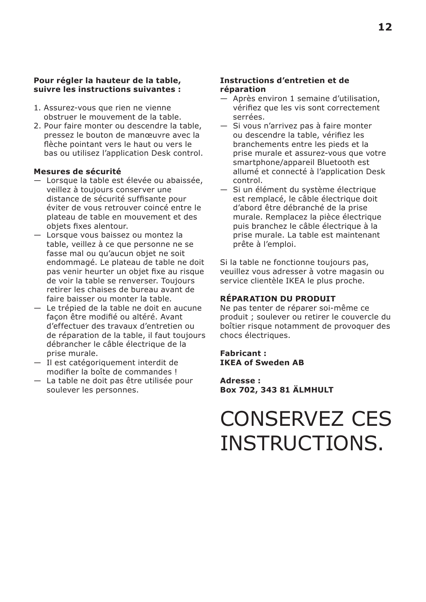#### **Pour régler la hauteur de la table, suivre les instructions suivantes :**

- 1. Assurez-vous que rien ne vienne obstruer le mouvement de la table.
- 2. Pour faire monter ou descendre la table, pressez le bouton de manœuvre avec la flèche pointant vers le haut ou vers le bas ou utilisez l'application Desk control.

#### **Mesures de sécurité**

- Lorsque la table est élevée ou abaissée, veillez à toujours conserver une distance de sécurité suffisante pour éviter de vous retrouver coincé entre le plateau de table en mouvement et des objets fixes alentour.
- Lorsque vous baissez ou montez la table, veillez à ce que personne ne se fasse mal ou qu'aucun objet ne soit endommagé. Le plateau de table ne doit pas venir heurter un objet fixe au risque de voir la table se renverser. Toujours retirer les chaises de bureau avant de faire baisser ou monter la table.
- Le trépied de la table ne doit en aucune façon être modifié ou altéré. Avant d'effectuer des travaux d'entretien ou de réparation de la table, il faut toujours débrancher le câble électrique de la prise murale.
- Il est catégoriquement interdit de modifier la boîte de commandes !
- La table ne doit pas être utilisée pour soulever les personnes.

#### **Instructions d'entretien et de réparation**

- Après environ 1 semaine d'utilisation, vérifiez que les vis sont correctement serrées.
- Si vous n'arrivez pas à faire monter ou descendre la table, vérifiez les branchements entre les pieds et la prise murale et assurez-vous que votre smartphone/appareil Bluetooth est allumé et connecté à l'application Desk control.
- Si un élément du système électrique est remplacé, le câble électrique doit d'abord être débranché de la prise murale. Remplacez la pièce électrique puis branchez le câble électrique à la prise murale. La table est maintenant prête à l'emploi.

Si la table ne fonctionne toujours pas, veuillez vous adresser à votre magasin ou service clientèle IKEA le plus proche.

#### **RÉPARATION DU PRODUIT**

Ne pas tenter de réparer soi-même ce produit ; soulever ou retirer le couvercle du boîtier risque notamment de provoquer des chocs électriques.

#### **Fabricant : IKEA of Sweden AB**

**Adresse : Box 702, 343 81 ÄLMHULT**

### CONSERVEZ CES INSTRUCTIONS.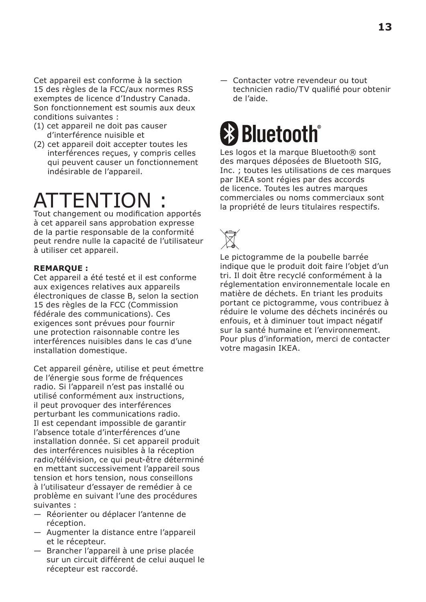Cet appareil est conforme à la section 15 des règles de la FCC/aux normes RSS exemptes de licence d'Industry Canada. Son fonctionnement est soumis aux deux conditions suivantes :

- (1) cet appareil ne doit pas causer d'interférence nuisible et
- (2) cet appareil doit accepter toutes les interférences reçues, y compris celles qui peuvent causer un fonctionnement indésirable de l'appareil.

# **ATTENTION**

Tout changement ou modification apportés à cet appareil sans approbation expresse de la partie responsable de la conformité peut rendre nulle la capacité de l'utilisateur à utiliser cet appareil.

#### **REMARQUE :**

Cet appareil a été testé et il est conforme aux exigences relatives aux appareils électroniques de classe B, selon la section 15 des règles de la FCC (Commission fédérale des communications). Ces exigences sont prévues pour fournir une protection raisonnable contre les interférences nuisibles dans le cas d'une installation domestique.

Cet appareil génère, utilise et peut émettre de l'énergie sous forme de fréquences radio. Si l'appareil n'est pas installé ou utilisé conformément aux instructions, il peut provoquer des interférences perturbant les communications radio. Il est cependant impossible de garantir l'absence totale d'interférences d'une installation donnée. Si cet appareil produit des interférences nuisibles à la réception radio/télévision, ce qui peut-être déterminé en mettant successivement l'appareil sous tension et hors tension, nous conseillons à l'utilisateur d'essayer de remédier à ce problème en suivant l'une des procédures suivantes :

- Réorienter ou déplacer l'antenne de réception.
- Augmenter la distance entre l'appareil et le récepteur.
- Brancher l'appareil à une prise placée sur un circuit différent de celui auquel le récepteur est raccordé.

— Contacter votre revendeur ou tout technicien radio/TV qualifié pour obtenir de l'aide.

# **& Bluetooth**

Les logos et la marque Bluetooth® sont des marques déposées de Bluetooth SIG, Inc. ; toutes les utilisations de ces marques par IKEA sont régies par des accords de licence. Toutes les autres marques commerciales ou noms commerciaux sont la propriété de leurs titulaires respectifs.



Le pictogramme de la poubelle barrée indique que le produit doit faire l'objet d'un tri. Il doit être recyclé conformément à la réglementation environnementale locale en matière de déchets. En triant les produits portant ce pictogramme, vous contribuez à réduire le volume des déchets incinérés ou enfouis, et à diminuer tout impact négatif sur la santé humaine et l'environnement. Pour plus d'information, merci de contacter votre magasin IKEA.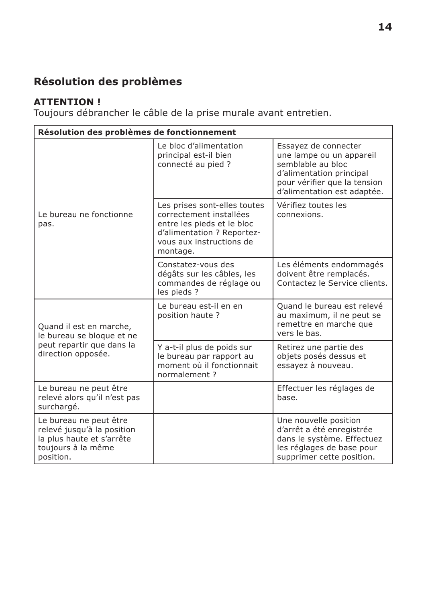### **Résolution des problèmes**

### **ATTENTION !**

Toujours débrancher le câble de la prise murale avant entretien.

| Résolution des problèmes de fonctionnement                                                                           |                                                                                                                                                             |                                                                                                                                                                  |
|----------------------------------------------------------------------------------------------------------------------|-------------------------------------------------------------------------------------------------------------------------------------------------------------|------------------------------------------------------------------------------------------------------------------------------------------------------------------|
| Le bureau ne fonctionne<br>pas.                                                                                      | Le bloc d'alimentation<br>principal est-il bien<br>connecté au pied ?                                                                                       | Essayez de connecter<br>une lampe ou un appareil<br>semblable au bloc<br>d'alimentation principal<br>pour vérifier que la tension<br>d'alimentation est adaptée. |
|                                                                                                                      | Les prises sont-elles toutes<br>correctement installées<br>entre les pieds et le bloc<br>d'alimentation ? Reportez-<br>vous aux instructions de<br>montage. | Vérifiez toutes les<br>connexions.                                                                                                                               |
|                                                                                                                      | Constatez-vous des<br>dégâts sur les câbles, les<br>commandes de réglage ou<br>les pieds ?                                                                  | Les éléments endommagés<br>doivent être remplacés.<br>Contactez le Service clients.                                                                              |
| Quand il est en marche,<br>le bureau se bloque et ne                                                                 | Le bureau est-il en en<br>position haute?                                                                                                                   | Quand le bureau est relevé<br>au maximum, il ne peut se<br>remettre en marche que<br>vers le bas.                                                                |
| peut repartir que dans la<br>direction opposée.                                                                      | Y a-t-il plus de poids sur<br>le bureau par rapport au<br>moment où il fonctionnait<br>normalement?                                                         | Retirez une partie des<br>objets posés dessus et<br>essayez à nouveau.                                                                                           |
| Le bureau ne peut être<br>relevé alors qu'il n'est pas<br>surchargé.                                                 |                                                                                                                                                             | Effectuer les réglages de<br>base.                                                                                                                               |
| Le bureau ne peut être<br>relevé jusqu'à la position<br>la plus haute et s'arrête<br>toujours à la même<br>position. |                                                                                                                                                             | Une nouvelle position<br>d'arrêt a été enregistrée<br>dans le système. Effectuez<br>les réglages de base pour<br>supprimer cette position.                       |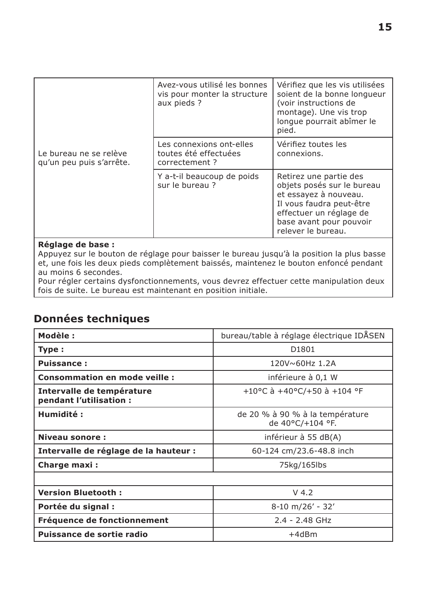|                                                    | Avez-vous utilisé les bonnes<br>vis pour monter la structure<br>aux pieds? | Vérifiez que les vis utilisées<br>soient de la bonne longueur<br>(voir instructions de<br>montage). Une vis trop<br>longue pourrait abîmer le<br>pied.                                |
|----------------------------------------------------|----------------------------------------------------------------------------|---------------------------------------------------------------------------------------------------------------------------------------------------------------------------------------|
| Le bureau ne se relève<br>qu'un peu puis s'arrête. | Les connexions ont-elles<br>toutes été effectuées<br>correctement?         | Vérifiez toutes les<br>connexions.                                                                                                                                                    |
|                                                    | Y a-t-il beaucoup de poids<br>sur le bureau?                               | Retirez une partie des<br>objets posés sur le bureau<br>et essayez à nouveau.<br>Il vous faudra peut-être<br>effectuer un réglage de<br>base avant pour pouvoir<br>relever le bureau. |

#### **Réglage de base :**

Appuyez sur le bouton de réglage pour baisser le bureau jusqu'à la position la plus basse et, une fois les deux pieds complètement baissés, maintenez le bouton enfoncé pendant au moins 6 secondes.

Pour régler certains dysfonctionnements, vous devrez effectuer cette manipulation deux fois de suite. Le bureau est maintenant en position initiale.

### **Données techniques**

| Modèle:                                              | bureau/table à réglage électrique IDÅSEN            |  |
|------------------------------------------------------|-----------------------------------------------------|--|
| Type:                                                | D <sub>1801</sub>                                   |  |
| <b>Puissance:</b>                                    | 120V~60Hz 1.2A                                      |  |
| <b>Consommation en mode veille:</b>                  | inférieure à 0,1 W                                  |  |
| Intervalle de température<br>pendant l'utilisation : | +10°C à +40°C/+50 à +104 °F                         |  |
| Humidité :                                           | de 20 % à 90 % à la température<br>de 40°C/+104 °F. |  |
| Niveau sonore:                                       | inférieur à 55 dB(A)                                |  |
| Intervalle de réglage de la hauteur :                | 60-124 cm/23.6-48.8 inch                            |  |
| Charge maxi:                                         | 75kg/165lbs                                         |  |
|                                                      |                                                     |  |
| <b>Version Bluetooth:</b>                            | $V$ 4.2                                             |  |
| Portée du signal :                                   | $8-10$ m/26' - 32'                                  |  |
| Fréquence de fonctionnement                          | $2.4 - 2.48$ GHz                                    |  |
| Puissance de sortie radio                            | $+4dBr$                                             |  |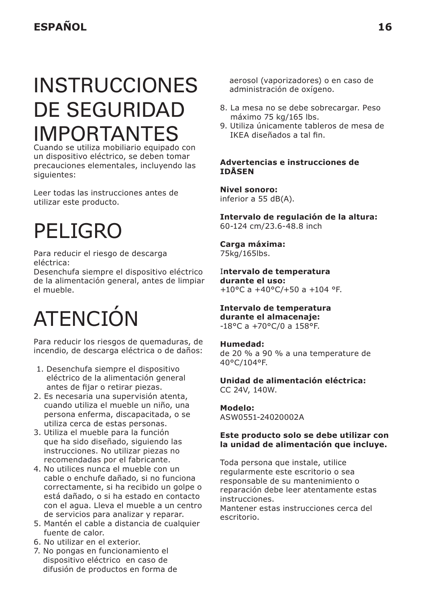### INSTRUCCIONES DE SEGURIDAD IMPORTANTES

Cuando se utiliza mobiliario equipado con un dispositivo eléctrico, se deben tomar precauciones elementales, incluyendo las siguientes:

Leer todas las instrucciones antes de utilizar este producto.

### PELIGRO

Para reducir el riesgo de descarga eléctrica:

Desenchufa siempre el dispositivo eléctrico de la alimentación general, antes de limpiar el mueble.

# ATENCIÓN

Para reducir los riesgos de quemaduras, de incendio, de descarga eléctrica o de daños:

- 1. Desenchufa siempre el dispositivo eléctrico de la alimentación general antes de fijar o retirar piezas.
- 2. Es necesaria una supervisión atenta, cuando utiliza el mueble un niño, una persona enferma, discapacitada, o se utiliza cerca de estas personas.
- 3. Utiliza el mueble para la función que ha sido diseñado, siguiendo las instrucciones. No utilizar piezas no recomendadas por el fabricante.
- 4. No utilices nunca el mueble con un cable o enchufe dañado, si no funciona correctamente, si ha recibido un golpe o está dañado, o si ha estado en contacto con el agua. Lleva el mueble a un centro de servicios para analizar y reparar.
- 5. Mantén el cable a distancia de cualquier fuente de calor.
- 6. No utilizar en el exterior.
- 7. No pongas en funcionamiento el dispositivo eléctrico en caso de difusión de productos en forma de

aerosol (vaporizadores) o en caso de administración de oxígeno.

- 8. La mesa no se debe sobrecargar. Peso máximo 75 kg/165 lbs.
- 9. Utiliza únicamente tableros de mesa de IKEA diseñados a tal fin.

#### **Advertencias e instrucciones de IDÅSEN**

**Nivel sonoro:** inferior a 55 dB(A).

**Intervalo de regulación de la altura:** 60-124 cm/23.6-48.8 inch

**Carga máxima:** 75kg/165lbs.

I**ntervalo de temperatura durante el uso:** +10°C a +40°C/+50 a +104 °F.

#### **Intervalo de temperatura durante el almacenaje:** -18°C a +70°C/0 a 158°F.

#### **Humedad:**

de 20 % a 90 % a una temperature de 40°C/104°F.

**Unidad de alimentación eléctrica:** CC 24V, 140W.

#### **Modelo:**

ASW0551-24020002A

#### **Este producto solo se debe utilizar con la unidad de alimentación que incluye.**

Toda persona que instale, utilice regularmente este escritorio o sea responsable de su mantenimiento o reparación debe leer atentamente estas instrucciones.

Mantener estas instrucciones cerca del escritorio.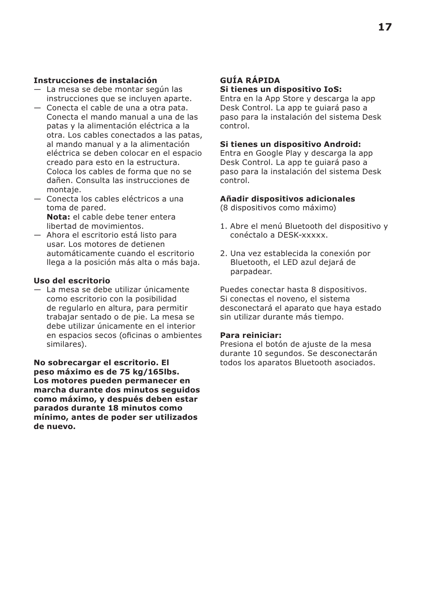#### **Instrucciones de instalación**

- La mesa se debe montar según las instrucciones que se incluyen aparte.
- Conecta el cable de una a otra pata. Conecta el mando manual a una de las patas y la alimentación eléctrica a la otra. Los cables conectados a las patas, al mando manual y a la alimentación eléctrica se deben colocar en el espacio creado para esto en la estructura. Coloca los cables de forma que no se dañen. Consulta las instrucciones de montaje.
- Conecta los cables eléctricos a una toma de pared. **Nota:** el cable debe tener entera libertad de movimientos.
- Ahora el escritorio está listo para usar. Los motores de detienen automáticamente cuando el escritorio llega a la posición más alta o más baja.

#### **Uso del escritorio**

— La mesa se debe utilizar únicamente como escritorio con la posibilidad de regularlo en altura, para permitir trabajar sentado o de pie. La mesa se debe utilizar únicamente en el interior en espacios secos (oficinas o ambientes similares).

**No sobrecargar el escritorio. El peso máximo es de 75 kg/165lbs. Los motores pueden permanecer en marcha durante dos minutos seguidos como máximo, y después deben estar parados durante 18 minutos como mínimo, antes de poder ser utilizados de nuevo.**

#### **GUÍA RÁPIDA Si tienes un dispositivo IoS:**

Entra en la App Store y descarga la app Desk Control. La app te guiará paso a paso para la instalación del sistema Desk control.

#### **Si tienes un dispositivo Android:**

Entra en Google Play y descarga la app Desk Control. La app te guiará paso a paso para la instalación del sistema Desk control.

#### **Añadir dispositivos adicionales**

(8 dispositivos como máximo)

- 1. Abre el menú Bluetooth del dispositivo y conéctalo a DESK-xxxxx.
- 2. Una vez establecida la conexión por Bluetooth, el LED azul dejará de parpadear.

Puedes conectar hasta 8 dispositivos. Si conectas el noveno, el sistema desconectará el aparato que haya estado sin utilizar durante más tiempo.

#### **Para reiniciar:**

Presiona el botón de ajuste de la mesa durante 10 segundos. Se desconectarán todos los aparatos Bluetooth asociados.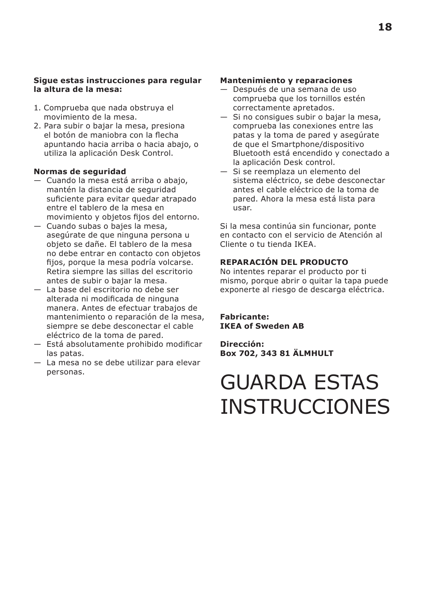#### **Sigue estas instrucciones para regular la altura de la mesa:**

- 1. Comprueba que nada obstruya el movimiento de la mesa.
- 2. Para subir o bajar la mesa, presiona el botón de maniobra con la flecha apuntando hacia arriba o hacia abajo, o utiliza la aplicación Desk Control.

#### **Normas de seguridad**

- Cuando la mesa está arriba o abajo, mantén la distancia de seguridad suficiente para evitar quedar atrapado entre el tablero de la mesa en movimiento y objetos fijos del entorno.
- Cuando subas o bajes la mesa, asegúrate de que ninguna persona u objeto se dañe. El tablero de la mesa no debe entrar en contacto con objetos fijos, porque la mesa podría volcarse. Retira siempre las sillas del escritorio antes de subir o bajar la mesa.
- La base del escritorio no debe ser alterada ni modificada de ninguna manera. Antes de efectuar trabajos de mantenimiento o reparación de la mesa, siempre se debe desconectar el cable eléctrico de la toma de pared.
- Está absolutamente prohibido modificar las patas.
- La mesa no se debe utilizar para elevar personas.

#### **Mantenimiento y reparaciones**

- Después de una semana de uso comprueba que los tornillos estén correctamente apretados.
- Si no consigues subir o bajar la mesa, comprueba las conexiones entre las patas y la toma de pared y asegúrate de que el Smartphone/dispositivo Bluetooth está encendido y conectado a la aplicación Desk control.
- Si se reemplaza un elemento del sistema eléctrico, se debe desconectar antes el cable eléctrico de la toma de pared. Ahora la mesa está lista para usar.

Si la mesa continúa sin funcionar, ponte en contacto con el servicio de Atención al Cliente o tu tienda IKEA.

#### **REPARACIÓN DEL PRODUCTO**

No intentes reparar el producto por ti mismo, porque abrir o quitar la tapa puede exponerte al riesgo de descarga eléctrica.

**Fabricante: IKEA of Sweden AB**

**Dirección: Box 702, 343 81 ÄLMHULT**

### GUARDA ESTAS INSTRUCCIONES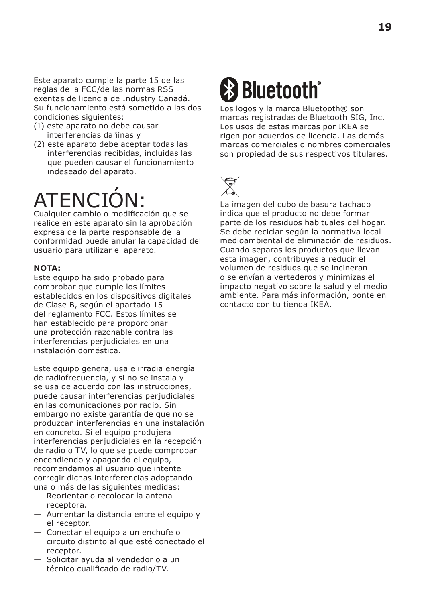Este aparato cumple la parte 15 de las reglas de la FCC/de las normas RSS exentas de licencia de Industry Canadá. Su funcionamiento está sometido a las dos condiciones siguientes:

- (1) este aparato no debe causar interferencias dañinas y
- (2) este aparato debe aceptar todas las interferencias recibidas, incluidas las que pueden causar el funcionamiento indeseado del aparato.

# ATENCIÓN:

Cualquier cambio o modificación que se realice en este aparato sin la aprobación expresa de la parte responsable de la conformidad puede anular la capacidad del usuario para utilizar el aparato.

#### **NOTA:**

Este equipo ha sido probado para comprobar que cumple los límites establecidos en los dispositivos digitales de Clase B, según el apartado 15 del reglamento FCC. Estos límites se han establecido para proporcionar una protección razonable contra las interferencias perjudiciales en una instalación doméstica.

Este equipo genera, usa e irradia energía de radiofrecuencia, y si no se instala y se usa de acuerdo con las instrucciones, puede causar interferencias perjudiciales en las comunicaciones por radio. Sin embargo no existe garantía de que no se produzcan interferencias en una instalación en concreto. Si el equipo produjera interferencias perjudiciales en la recepción de radio o TV, lo que se puede comprobar encendiendo y apagando el equipo, recomendamos al usuario que intente corregir dichas interferencias adoptando una o más de las siguientes medidas:

- Reorientar o recolocar la antena receptora.
- Aumentar la distancia entre el equipo y el receptor.
- Conectar el equipo a un enchufe o circuito distinto al que esté conectado el receptor.
- Solicitar ayuda al vendedor o a un técnico cualificado de radio/TV.

# **& Bluetooth**

Los logos y la marca Bluetooth® son marcas registradas de Bluetooth SIG, Inc. Los usos de estas marcas por IKEA se rigen por acuerdos de licencia. Las demás marcas comerciales o nombres comerciales son propiedad de sus respectivos titulares.



La imagen del cubo de basura tachado indica que el producto no debe formar parte de los residuos habituales del hogar. Se debe reciclar según la normativa local medioambiental de eliminación de residuos. Cuando separas los productos que llevan esta imagen, contribuyes a reducir el volumen de residuos que se incineran o se envían a vertederos y minimizas el impacto negativo sobre la salud y el medio ambiente. Para más información, ponte en contacto con tu tienda IKEA.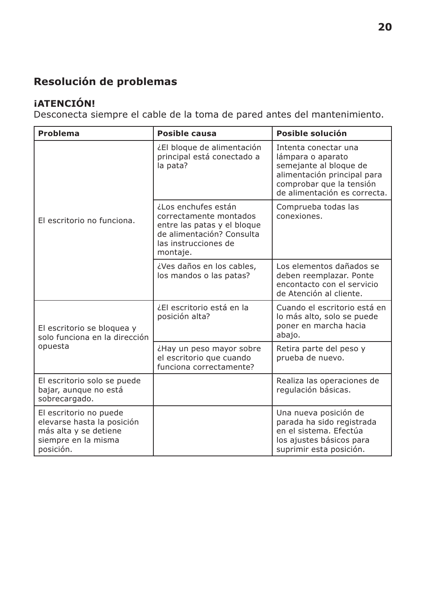### **Resolución de problemas**

### **¡ATENCIÓN!**

Desconecta siempre el cable de la toma de pared antes del mantenimiento.

| Problema                                                                                                          | Posible causa                                                                                                                                 | Posible solución                                                                                                                                               |
|-------------------------------------------------------------------------------------------------------------------|-----------------------------------------------------------------------------------------------------------------------------------------------|----------------------------------------------------------------------------------------------------------------------------------------------------------------|
| El escritorio no funciona.                                                                                        | ¿El bloque de alimentación<br>principal está conectado a<br>la pata?                                                                          | Intenta conectar una<br>lámpara o aparato<br>semejante al bloque de<br>alimentación principal para<br>comprobar que la tensión<br>de alimentación es correcta. |
|                                                                                                                   | ¿Los enchufes están<br>correctamente montados<br>entre las patas y el bloque<br>de alimentación? Consulta<br>las instrucciones de<br>montaje. | Comprueba todas las<br>conexiones.                                                                                                                             |
|                                                                                                                   | ¿Ves daños en los cables,<br>los mandos o las patas?                                                                                          | Los elementos dañados se<br>deben reemplazar. Ponte<br>encontacto con el servicio<br>de Atención al cliente.                                                   |
| El escritorio se bloquea y<br>solo funciona en la dirección                                                       | ¿El escritorio está en la<br>posición alta?                                                                                                   | Cuando el escritorio está en<br>lo más alto, solo se puede<br>poner en marcha hacia<br>abajo.                                                                  |
| opuesta                                                                                                           | ¿Hay un peso mayor sobre<br>el escritorio que cuando<br>funciona correctamente?                                                               | Retira parte del peso y<br>prueba de nuevo.                                                                                                                    |
| El escritorio solo se puede<br>bajar, aunque no está<br>sobrecargado.                                             |                                                                                                                                               | Realiza las operaciones de<br>regulación básicas.                                                                                                              |
| El escritorio no puede<br>elevarse hasta la posición<br>más alta y se detiene<br>siempre en la misma<br>posición. |                                                                                                                                               | Una nueva posición de<br>parada ha sido registrada<br>en el sistema. Efectúa<br>los ajustes básicos para<br>suprimir esta posición.                            |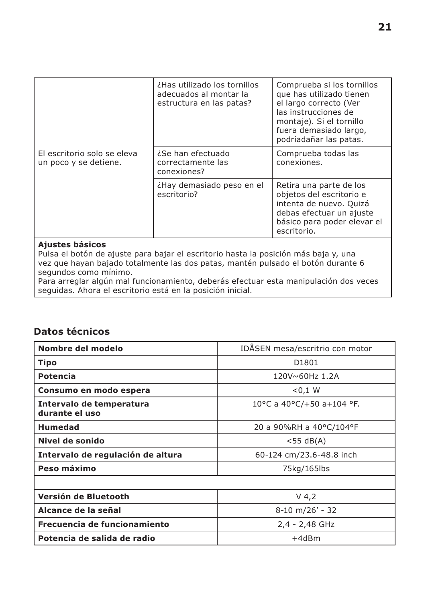|                                                      | ¿Has utilizado los tornillos<br>adecuados al montar la<br>estructura en las patas? | Comprueba si los tornillos<br>que has utilizado tienen<br>el largo correcto (Ver<br>las instrucciones de<br>montaje). Si el tornillo<br>fuera demasiado largo,<br>podríadañar las patas. |
|------------------------------------------------------|------------------------------------------------------------------------------------|------------------------------------------------------------------------------------------------------------------------------------------------------------------------------------------|
| El escritorio solo se eleva<br>un poco y se detiene. | ¿Se han efectuado<br>correctamente las<br>conexiones?                              | Comprueba todas las<br>conexiones.                                                                                                                                                       |
|                                                      | ¿Hay demasiado peso en el<br>escritorio?                                           | Retira una parte de los<br>objetos del escritorio e<br>intenta de nuevo. Quizá<br>debas efectuar un ajuste<br>básico para poder elevar el<br>escritorio.                                 |

#### **Ajustes básicos**

Pulsa el botón de ajuste para bajar el escritorio hasta la posición más baja y, una vez que hayan bajado totalmente las dos patas, mantén pulsado el botón durante 6 segundos como mínimo.

Para arreglar algún mal funcionamiento, deberás efectuar esta manipulación dos veces seguidas. Ahora el escritorio está en la posición inicial.

#### **Datos técnicos**

| Nombre del modelo                          | IDÅSEN mesa/escritrio con motor |  |
|--------------------------------------------|---------------------------------|--|
| Tipo                                       | D1801                           |  |
| Potencia                                   | 120V~60Hz 1.2A                  |  |
| Consumo en modo espera                     | < 0.1 W                         |  |
| Intervalo de temperatura<br>durante el uso | 10°C a 40°C/+50 a+104 °F.       |  |
| Humedad                                    | 20 a 90%RH a 40°C/104°F         |  |
| Nivel de sonido                            | $<$ 55 dB(A)                    |  |
| Intervalo de regulación de altura          | 60-124 cm/23.6-48.8 inch        |  |
| Peso máximo                                | 75kg/165lbs                     |  |
|                                            |                                 |  |
| Versión de Bluetooth                       | $V$ 4,2                         |  |
| Alcance de la señal                        | $8-10$ m/26' - 32               |  |
| Frecuencia de funcionamiento               | 2,4 - 2,48 GHz                  |  |
| Potencia de salida de radio                | $+4dBr$                         |  |